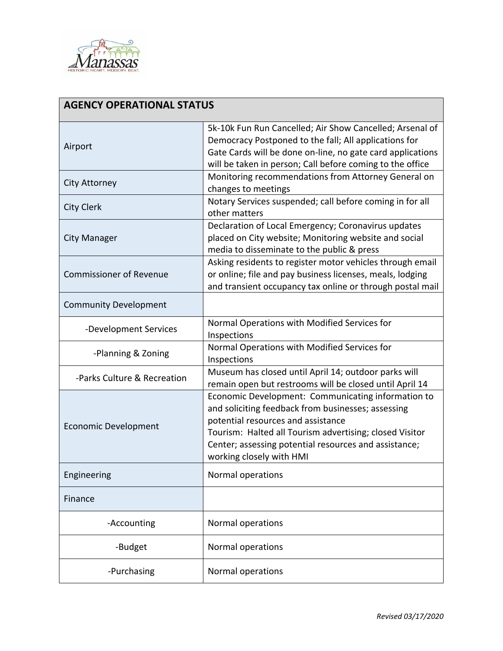

| <b>AGENCY OPERATIONAL STATUS</b> |                                                                                                                                                                                                                                                                                                |
|----------------------------------|------------------------------------------------------------------------------------------------------------------------------------------------------------------------------------------------------------------------------------------------------------------------------------------------|
| Airport                          | 5k-10k Fun Run Cancelled; Air Show Cancelled; Arsenal of<br>Democracy Postponed to the fall; All applications for<br>Gate Cards will be done on-line, no gate card applications<br>will be taken in person; Call before coming to the office                                                   |
| <b>City Attorney</b>             | Monitoring recommendations from Attorney General on<br>changes to meetings                                                                                                                                                                                                                     |
| <b>City Clerk</b>                | Notary Services suspended; call before coming in for all<br>other matters                                                                                                                                                                                                                      |
| <b>City Manager</b>              | Declaration of Local Emergency; Coronavirus updates<br>placed on City website; Monitoring website and social<br>media to disseminate to the public & press                                                                                                                                     |
| <b>Commissioner of Revenue</b>   | Asking residents to register motor vehicles through email<br>or online; file and pay business licenses, meals, lodging<br>and transient occupancy tax online or through postal mail                                                                                                            |
| <b>Community Development</b>     |                                                                                                                                                                                                                                                                                                |
| -Development Services            | Normal Operations with Modified Services for<br>Inspections                                                                                                                                                                                                                                    |
| -Planning & Zoning               | Normal Operations with Modified Services for<br>Inspections                                                                                                                                                                                                                                    |
| -Parks Culture & Recreation      | Museum has closed until April 14; outdoor parks will<br>remain open but restrooms will be closed until April 14                                                                                                                                                                                |
| <b>Economic Development</b>      | Economic Development: Communicating information to<br>and soliciting feedback from businesses; assessing<br>potential resources and assistance<br>Tourism: Halted all Tourism advertising; closed Visitor<br>Center; assessing potential resources and assistance;<br>working closely with HMI |
| Engineering                      | Normal operations                                                                                                                                                                                                                                                                              |
| Finance                          |                                                                                                                                                                                                                                                                                                |
| -Accounting                      | Normal operations                                                                                                                                                                                                                                                                              |
| -Budget                          | Normal operations                                                                                                                                                                                                                                                                              |
| -Purchasing                      | Normal operations                                                                                                                                                                                                                                                                              |